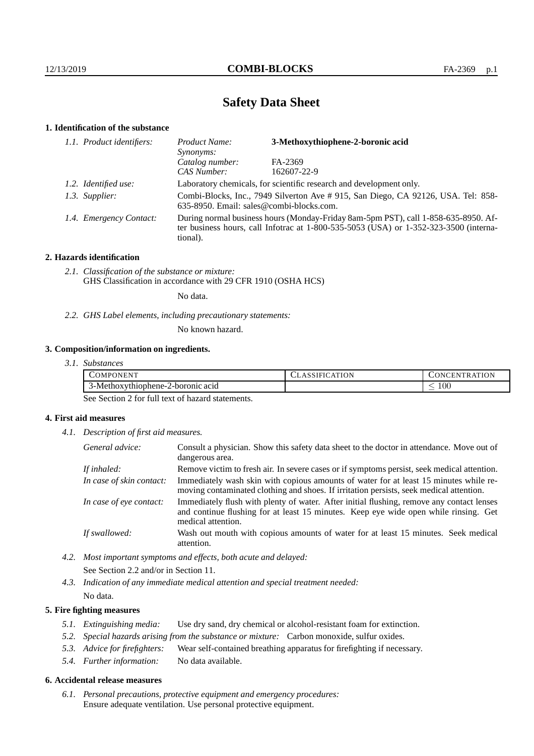# **Safety Data Sheet**

## **1. Identification of the substance**

| 1.1. Product identifiers: | 3-Methoxythiophene-2-boronic acid<br>Product Name:<br><i>Synonyms:</i>                                                                                                                      |             |  |
|---------------------------|---------------------------------------------------------------------------------------------------------------------------------------------------------------------------------------------|-------------|--|
|                           | Catalog number:                                                                                                                                                                             | FA-2369     |  |
|                           | CAS Number:                                                                                                                                                                                 | 162607-22-9 |  |
| 1.2. Identified use:      | Laboratory chemicals, for scientific research and development only.                                                                                                                         |             |  |
| 1.3. Supplier:            | Combi-Blocks, Inc., 7949 Silverton Ave # 915, San Diego, CA 92126, USA. Tel: 858-<br>635-8950. Email: sales@combi-blocks.com.                                                               |             |  |
| 1.4. Emergency Contact:   | During normal business hours (Monday-Friday 8am-5pm PST), call 1-858-635-8950. Af-<br>ter business hours, call Infotrac at $1-800-535-5053$ (USA) or $1-352-323-3500$ (interna-<br>tional). |             |  |

## **2. Hazards identification**

*2.1. Classification of the substance or mixture:* GHS Classification in accordance with 29 CFR 1910 (OSHA HCS)

No data.

*2.2. GHS Label elements, including precautionary statements:*

No known hazard.

## **3. Composition/information on ingredients.**

| $\mathcal{L}OMP^{\mathcal{L}}$<br>ONEN<br>$\cdot$ | <b>ATION</b><br>`SSIFIC. | ATION<br>. vCEN *<br>$\overline{\mathbf{v}}$<br>`R A |
|---------------------------------------------------|--------------------------|------------------------------------------------------|
| 3-Methoxythiophene-2<br>2-boronic acid            |                          | $100\,$<br>_                                         |

See Section 2 for full text of hazard statements.

## **4. First aid measures**

*4.1. Description of first aid measures.*

| General advice:          | Consult a physician. Show this safety data sheet to the doctor in attendance. Move out of<br>dangerous area.                                                                                            |  |
|--------------------------|---------------------------------------------------------------------------------------------------------------------------------------------------------------------------------------------------------|--|
| If inhaled:              | Remove victim to fresh air. In severe cases or if symptoms persist, seek medical attention.                                                                                                             |  |
| In case of skin contact: | Immediately wash skin with copious amounts of water for at least 15 minutes while re-<br>moving contaminated clothing and shoes. If irritation persists, seek medical attention.                        |  |
| In case of eye contact:  | Immediately flush with plenty of water. After initial flushing, remove any contact lenses<br>and continue flushing for at least 15 minutes. Keep eye wide open while rinsing. Get<br>medical attention. |  |
| If swallowed:            | Wash out mouth with copious amounts of water for at least 15 minutes. Seek medical<br>attention.                                                                                                        |  |

*4.2. Most important symptoms and effects, both acute and delayed:* See Section 2.2 and/or in Section 11.

*4.3. Indication of any immediate medical attention and special treatment needed:* No data.

### **5. Fire fighting measures**

- *5.1. Extinguishing media:* Use dry sand, dry chemical or alcohol-resistant foam for extinction.
- *5.2. Special hazards arising from the substance or mixture:* Carbon monoxide, sulfur oxides.
- *5.3. Advice for firefighters:* Wear self-contained breathing apparatus for firefighting if necessary.
- *5.4. Further information:* No data available.

#### **6. Accidental release measures**

*6.1. Personal precautions, protective equipment and emergency procedures:* Ensure adequate ventilation. Use personal protective equipment.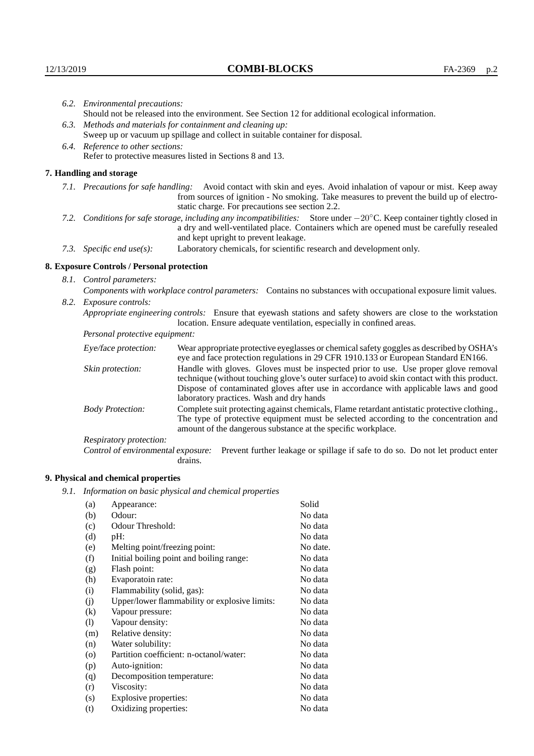|                                                                                                                                                                                                                                                                    | 6.2. Environmental precautions:                                                                                                                                                                                                                                                                                                                       |                                                                                                                                                                                                                                                                                                                           |  |
|--------------------------------------------------------------------------------------------------------------------------------------------------------------------------------------------------------------------------------------------------------------------|-------------------------------------------------------------------------------------------------------------------------------------------------------------------------------------------------------------------------------------------------------------------------------------------------------------------------------------------------------|---------------------------------------------------------------------------------------------------------------------------------------------------------------------------------------------------------------------------------------------------------------------------------------------------------------------------|--|
|                                                                                                                                                                                                                                                                    | Should not be released into the environment. See Section 12 for additional ecological information.<br>6.3. Methods and materials for containment and cleaning up:<br>Sweep up or vacuum up spillage and collect in suitable container for disposal.<br>6.4. Reference to other sections:<br>Refer to protective measures listed in Sections 8 and 13. |                                                                                                                                                                                                                                                                                                                           |  |
|                                                                                                                                                                                                                                                                    |                                                                                                                                                                                                                                                                                                                                                       |                                                                                                                                                                                                                                                                                                                           |  |
|                                                                                                                                                                                                                                                                    |                                                                                                                                                                                                                                                                                                                                                       |                                                                                                                                                                                                                                                                                                                           |  |
|                                                                                                                                                                                                                                                                    |                                                                                                                                                                                                                                                                                                                                                       |                                                                                                                                                                                                                                                                                                                           |  |
|                                                                                                                                                                                                                                                                    |                                                                                                                                                                                                                                                                                                                                                       |                                                                                                                                                                                                                                                                                                                           |  |
|                                                                                                                                                                                                                                                                    | 7. Handling and storage                                                                                                                                                                                                                                                                                                                               |                                                                                                                                                                                                                                                                                                                           |  |
| 7.1. Precautions for safe handling: Avoid contact with skin and eyes. Avoid inhalation of vapour or mist. Keep away<br>from sources of ignition - No smoking. Take measures to prevent the build up of electro-<br>static charge. For precautions see section 2.2. |                                                                                                                                                                                                                                                                                                                                                       |                                                                                                                                                                                                                                                                                                                           |  |
| 7.2. Conditions for safe storage, including any incompatibilities: Store under $-20^{\circ}$ C. Keep container tightly closed in<br>and kept upright to prevent leakage.                                                                                           |                                                                                                                                                                                                                                                                                                                                                       | a dry and well-ventilated place. Containers which are opened must be carefully resealed                                                                                                                                                                                                                                   |  |
| 7.3. Specific end use(s):                                                                                                                                                                                                                                          |                                                                                                                                                                                                                                                                                                                                                       | Laboratory chemicals, for scientific research and development only.                                                                                                                                                                                                                                                       |  |
|                                                                                                                                                                                                                                                                    | 8. Exposure Controls / Personal protection                                                                                                                                                                                                                                                                                                            |                                                                                                                                                                                                                                                                                                                           |  |
|                                                                                                                                                                                                                                                                    | 8.1. Control parameters:                                                                                                                                                                                                                                                                                                                              |                                                                                                                                                                                                                                                                                                                           |  |
| Components with workplace control parameters: Contains no substances with occupational exposure limit values.                                                                                                                                                      |                                                                                                                                                                                                                                                                                                                                                       |                                                                                                                                                                                                                                                                                                                           |  |
|                                                                                                                                                                                                                                                                    | 8.2. Exposure controls:                                                                                                                                                                                                                                                                                                                               |                                                                                                                                                                                                                                                                                                                           |  |
|                                                                                                                                                                                                                                                                    |                                                                                                                                                                                                                                                                                                                                                       | Appropriate engineering controls: Ensure that eyewash stations and safety showers are close to the workstation<br>location. Ensure adequate ventilation, especially in confined areas.                                                                                                                                    |  |
|                                                                                                                                                                                                                                                                    | Personal protective equipment:                                                                                                                                                                                                                                                                                                                        |                                                                                                                                                                                                                                                                                                                           |  |
|                                                                                                                                                                                                                                                                    | Eye/face protection:                                                                                                                                                                                                                                                                                                                                  | Wear appropriate protective eyeglasses or chemical safety goggles as described by OSHA's<br>eye and face protection regulations in 29 CFR 1910.133 or European Standard EN166.                                                                                                                                            |  |
|                                                                                                                                                                                                                                                                    | Skin protection:                                                                                                                                                                                                                                                                                                                                      | Handle with gloves. Gloves must be inspected prior to use. Use proper glove removal<br>technique (without touching glove's outer surface) to avoid skin contact with this product.<br>$\mathbf{D}$ , and the contract of the component of the component of the condition of the following $\mathbf{A}$ , and $\mathbf{A}$ |  |

| Eye/face protection:               | Wear appropriate protective eyeglasses or chemical safety goggles as described by OSHA's<br>eye and face protection regulations in 29 CFR 1910.133 or European Standard EN166.                                                                                                                                         |
|------------------------------------|------------------------------------------------------------------------------------------------------------------------------------------------------------------------------------------------------------------------------------------------------------------------------------------------------------------------|
| Skin protection:                   | Handle with gloves. Gloves must be inspected prior to use. Use proper glove removal<br>technique (without touching glove's outer surface) to avoid skin contact with this product.<br>Dispose of contaminated gloves after use in accordance with applicable laws and good<br>laboratory practices. Wash and dry hands |
| <b>Body Protection:</b>            | Complete suit protecting against chemicals, Flame retardant antistatic protective clothing.<br>The type of protective equipment must be selected according to the concentration and<br>amount of the dangerous substance at the specific workplace.                                                                    |
| Respiratory protection:            |                                                                                                                                                                                                                                                                                                                        |
| Control of environmental exposure: | Prevent further leakage or spillage if safe to do so. Do not let product enter<br>drains.                                                                                                                                                                                                                              |

## **9. Physical and chemical properties**

*9.1. Information on basic physical and chemical properties*

| (a)                | Appearance:                                   | Solid    |
|--------------------|-----------------------------------------------|----------|
| (b)                | Odour:                                        | No data  |
| (c)                | Odour Threshold:                              | No data  |
| (d)                | pH:                                           | No data  |
| (e)                | Melting point/freezing point:                 | No date. |
| (f)                | Initial boiling point and boiling range:      | No data  |
| (g)                | Flash point:                                  | No data  |
| (h)                | Evaporatoin rate:                             | No data  |
| (i)                | Flammability (solid, gas):                    | No data  |
| (i)                | Upper/lower flammability or explosive limits: | No data  |
| $\rm(k)$           | Vapour pressure:                              | No data  |
| (1)                | Vapour density:                               | No data  |
| (m)                | Relative density:                             | No data  |
| (n)                | Water solubility:                             | No data  |
| $\left( 0 \right)$ | Partition coefficient: n-octanol/water:       | No data  |
| (p)                | Auto-ignition:                                | No data  |
| (q)                | Decomposition temperature:                    | No data  |
| (r)                | Viscosity:                                    | No data  |
| (s)                | Explosive properties:                         | No data  |
| (t)                | Oxidizing properties:                         | No data  |